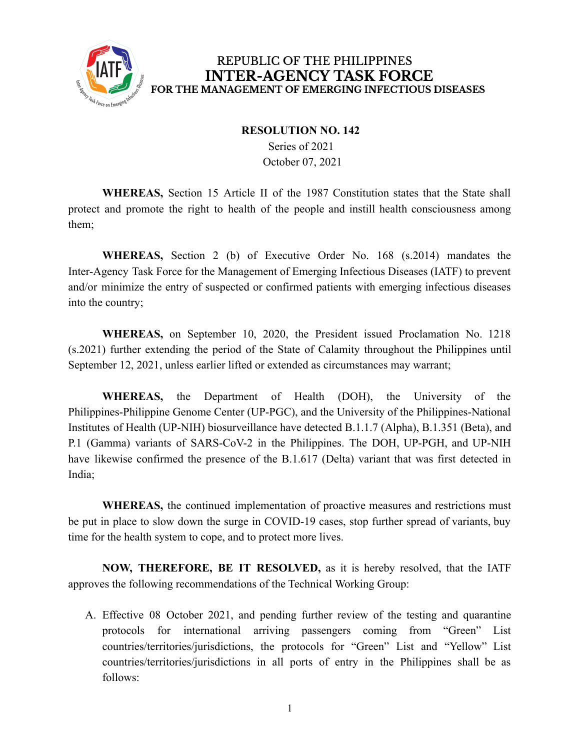

#### **RESOLUTION NO. 142**

Series of 2021 October 07, 2021

**WHEREAS,** Section 15 Article II of the 1987 Constitution states that the State shall protect and promote the right to health of the people and instill health consciousness among them;

**WHEREAS,** Section 2 (b) of Executive Order No. 168 (s.2014) mandates the Inter-Agency Task Force for the Management of Emerging Infectious Diseases (IATF) to prevent and/or minimize the entry of suspected or confirmed patients with emerging infectious diseases into the country;

**WHEREAS,** on September 10, 2020, the President issued Proclamation No. 1218 (s.2021) further extending the period of the State of Calamity throughout the Philippines until September 12, 2021, unless earlier lifted or extended as circumstances may warrant;

**WHEREAS,** the Department of Health (DOH), the University of the Philippines-Philippine Genome Center (UP-PGC), and the University of the Philippines-National Institutes of Health (UP-NIH) biosurveillance have detected B.1.1.7 (Alpha), B.1.351 (Beta), and P.1 (Gamma) variants of SARS-CoV-2 in the Philippines. The DOH, UP-PGH, and UP-NIH have likewise confirmed the presence of the B.1.617 (Delta) variant that was first detected in India;

**WHEREAS,** the continued implementation of proactive measures and restrictions must be put in place to slow down the surge in COVID-19 cases, stop further spread of variants, buy time for the health system to cope, and to protect more lives.

**NOW, THEREFORE, BE IT RESOLVED,** as it is hereby resolved, that the IATF approves the following recommendations of the Technical Working Group:

A. Effective 08 October 2021, and pending further review of the testing and quarantine protocols for international arriving passengers coming from "Green" List countries/territories/jurisdictions, the protocols for "Green" List and "Yellow" List countries/territories/jurisdictions in all ports of entry in the Philippines shall be as follows: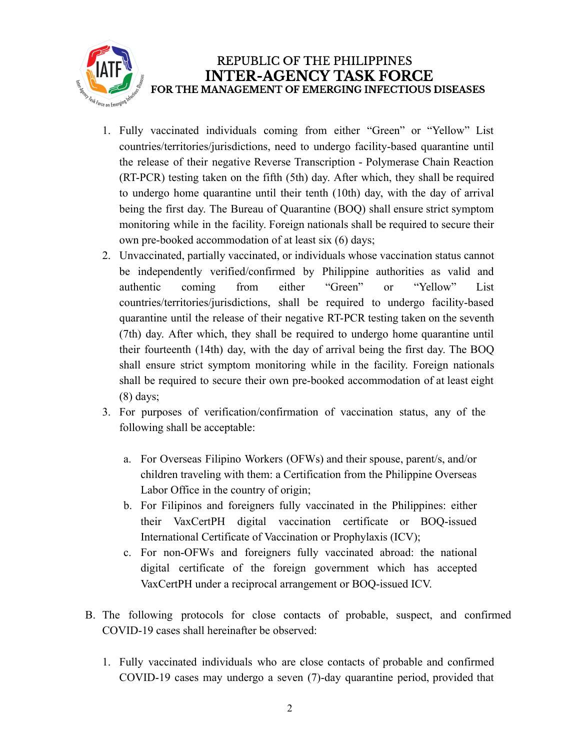

- 1. Fully vaccinated individuals coming from either "Green" or "Yellow" List countries/territories/jurisdictions, need to undergo facility-based quarantine until the release of their negative Reverse Transcription - Polymerase Chain Reaction (RT-PCR) testing taken on the fifth (5th) day. After which, they shall be required to undergo home quarantine until their tenth (10th) day, with the day of arrival being the first day. The Bureau of Quarantine (BOQ) shall ensure strict symptom monitoring while in the facility. Foreign nationals shall be required to secure their own pre-booked accommodation of at least six (6) days;
- 2. Unvaccinated, partially vaccinated, or individuals whose vaccination status cannot be independently verified/confirmed by Philippine authorities as valid and authentic coming from either "Green" or "Yellow" List countries/territories/jurisdictions, shall be required to undergo facility-based quarantine until the release of their negative RT-PCR testing taken on the seventh (7th) day. After which, they shall be required to undergo home quarantine until their fourteenth (14th) day, with the day of arrival being the first day. The BOQ shall ensure strict symptom monitoring while in the facility. Foreign nationals shall be required to secure their own pre-booked accommodation of at least eight (8) days;
- 3. For purposes of verification/confirmation of vaccination status, any of the following shall be acceptable:
	- a. For Overseas Filipino Workers (OFWs) and their spouse, parent/s, and/or children traveling with them: a Certification from the Philippine Overseas Labor Office in the country of origin;
	- b. For Filipinos and foreigners fully vaccinated in the Philippines: either their VaxCertPH digital vaccination certificate or BOQ-issued International Certificate of Vaccination or Prophylaxis (ICV);
	- c. For non-OFWs and foreigners fully vaccinated abroad: the national digital certificate of the foreign government which has accepted VaxCertPH under a reciprocal arrangement or BOQ-issued ICV.
- B. The following protocols for close contacts of probable, suspect, and confirmed COVID-19 cases shall hereinafter be observed:
	- 1. Fully vaccinated individuals who are close contacts of probable and confirmed COVID-19 cases may undergo a seven (7)-day quarantine period, provided that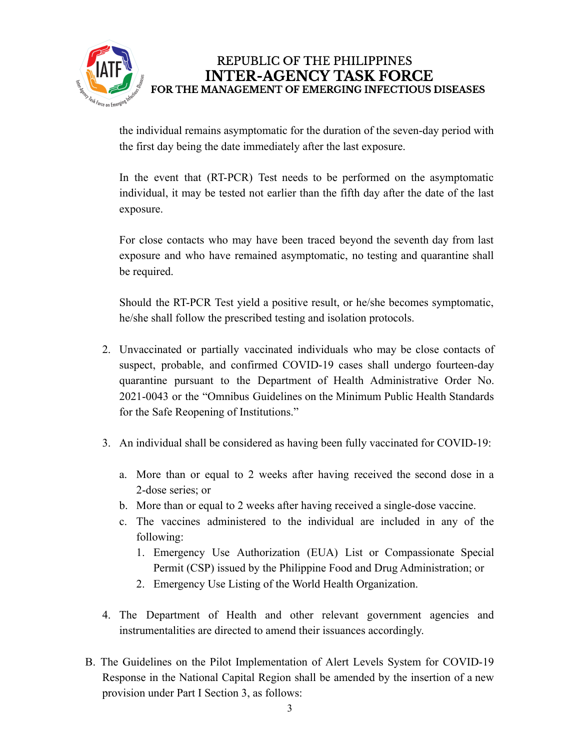

the individual remains asymptomatic for the duration of the seven-day period with the first day being the date immediately after the last exposure.

In the event that (RT-PCR) Test needs to be performed on the asymptomatic individual, it may be tested not earlier than the fifth day after the date of the last exposure.

For close contacts who may have been traced beyond the seventh day from last exposure and who have remained asymptomatic, no testing and quarantine shall be required.

Should the RT-PCR Test yield a positive result, or he/she becomes symptomatic, he/she shall follow the prescribed testing and isolation protocols.

- 2. Unvaccinated or partially vaccinated individuals who may be close contacts of suspect, probable, and confirmed COVID-19 cases shall undergo fourteen-day quarantine pursuant to the Department of Health Administrative Order No. 2021-0043 or the "Omnibus Guidelines on the Minimum Public Health Standards for the Safe Reopening of Institutions."
- 3. An individual shall be considered as having been fully vaccinated for COVID-19:
	- a. More than or equal to 2 weeks after having received the second dose in a 2-dose series; or
	- b. More than or equal to 2 weeks after having received a single-dose vaccine.
	- c. The vaccines administered to the individual are included in any of the following:
		- 1. Emergency Use Authorization (EUA) List or Compassionate Special Permit (CSP) issued by the Philippine Food and Drug Administration; or
		- 2. Emergency Use Listing of the World Health Organization.
- 4. The Department of Health and other relevant government agencies and instrumentalities are directed to amend their issuances accordingly.
- B. The Guidelines on the Pilot Implementation of Alert Levels System for COVID-19 Response in the National Capital Region shall be amended by the insertion of a new provision under Part I Section 3, as follows: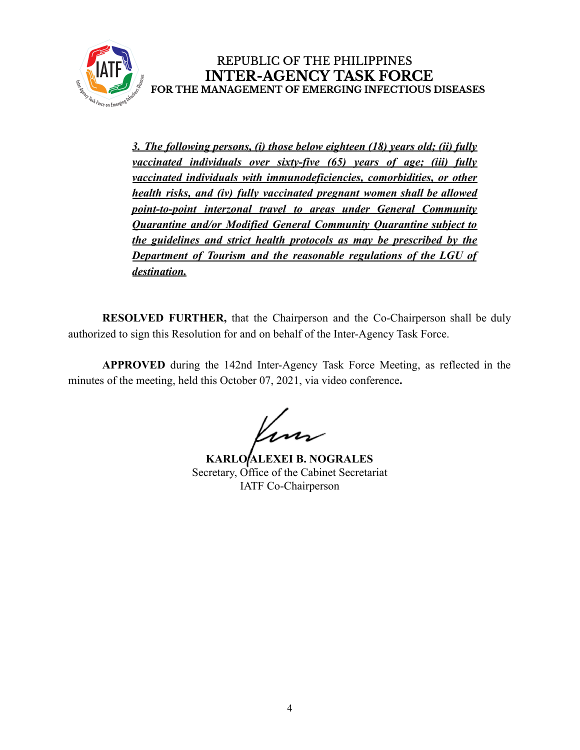

*3. The following persons, (i) those below eighteen (18) years old; (ii) fully vaccinated individuals over sixty-five (65) years of age; (iii) fully vaccinated individuals with immunodeficiencies, comorbidities, or other health risks, and (iv) fully vaccinated pregnant women shall be allowed point-to-point interzonal travel to areas under General Community Quarantine and/or Modified General Community Quarantine subject to the guidelines and strict health protocols as may be prescribed by the Department of Tourism and the reasonable regulations of the LGU of destination.*

**RESOLVED FURTHER,** that the Chairperson and the Co-Chairperson shall be duly authorized to sign this Resolution for and on behalf of the Inter-Agency Task Force.

**APPROVED** during the 142nd Inter-Agency Task Force Meeting, as reflected in the minutes of the meeting, held this October 07, 2021, via video conference**.**

**KARLO ALEXEI B. NOGRALES** Secretary, Office of the Cabinet Secretariat IATF Co-Chairperson